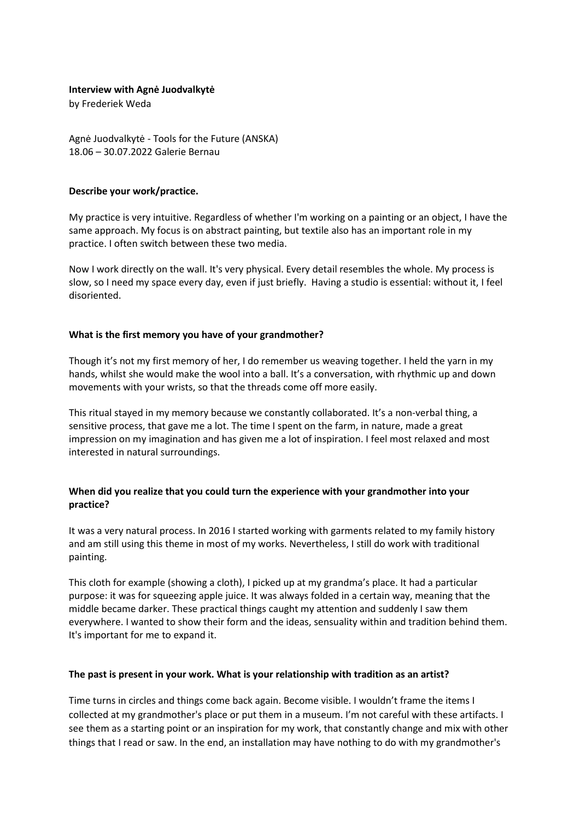#### **Interview with Agnė Juodvalkytė**

by Frederiek Weda

Agnė Juodvalkytė - Tools for the Future (ANSKA) 18.06 – 30.07.2022 Galerie Bernau

### **Describe your work/practice.**

My practice is very intuitive. Regardless of whether I'm working on a painting or an object, I have the same approach. My focus is on abstract painting, but textile also has an important role in my practice. I often switch between these two media.

Now I work directly on the wall. It's very physical. Every detail resembles the whole. My process is slow, so I need my space every day, even if just briefly. Having a studio is essential: without it, I feel disoriented.

### **What is the first memory you have of your grandmother?**

Though it's not my first memory of her, I do remember us weaving together. I held the yarn in my hands, whilst she would make the wool into a ball. It's a conversation, with rhythmic up and down movements with your wrists, so that the threads come off more easily.

This ritual stayed in my memory because we constantly collaborated. It's a non-verbal thing, a sensitive process, that gave me a lot. The time I spent on the farm, in nature, made a great impression on my imagination and has given me a lot of inspiration. I feel most relaxed and most interested in natural surroundings.

# **When did you realize that you could turn the experience with your grandmother into your practice?**

It was a very natural process. In 2016 I started working with garments related to my family history and am still using this theme in most of my works. Nevertheless, I still do work with traditional painting.

This cloth for example (showing a cloth), I picked up at my grandma's place. It had a particular purpose: it was for squeezing apple juice. It was always folded in a certain way, meaning that the middle became darker. These practical things caught my attention and suddenly I saw them everywhere. I wanted to show their form and the ideas, sensuality within and tradition behind them. It's important for me to expand it.

#### **The past is present in your work. What is your relationship with tradition as an artist?**

Time turns in circles and things come back again. Become visible. I wouldn't frame the items I collected at my grandmother's place or put them in a museum. I'm not careful with these artifacts. I see them as a starting point or an inspiration for my work, that constantly change and mix with other things that I read or saw. In the end, an installation may have nothing to do with my grandmother's